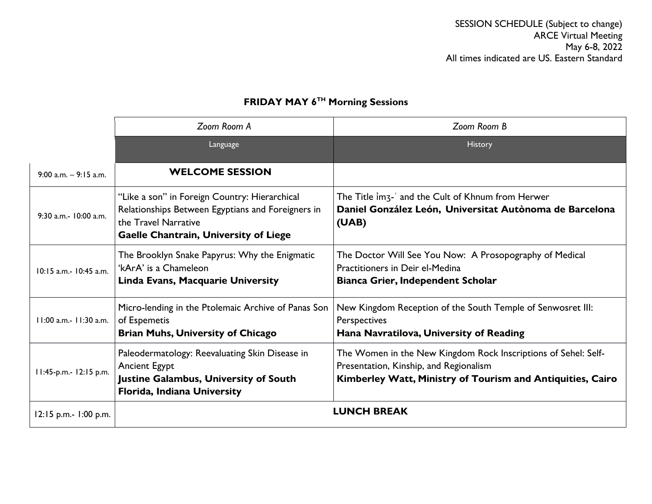SESSION SCHEDULE (Subject to change) ARCE Virtual Meeting May 6-8, 2022 All times indicated are US. Eastern Standard

|                           | Zoom Room A                                                                                                                                                                | Zoom Room B                                                                                                                                                            |
|---------------------------|----------------------------------------------------------------------------------------------------------------------------------------------------------------------------|------------------------------------------------------------------------------------------------------------------------------------------------------------------------|
|                           | Language                                                                                                                                                                   | History                                                                                                                                                                |
| $9:00$ a.m. $-9:15$ a.m.  | <b>WELCOME SESSION</b>                                                                                                                                                     |                                                                                                                                                                        |
| 9:30 a.m.- 10:00 a.m.     | "Like a son" in Foreign Country: Hierarchical<br>Relationships Between Egyptians and Foreigners in<br>the Travel Narrative<br><b>Gaelle Chantrain, University of Liege</b> | The Title im <sub>3</sub> -' and the Cult of Khnum from Herwer<br>Daniel González León, Universitat Autònoma de Barcelona<br>(UAB)                                     |
| 10:15 a.m.- 10:45 a.m.    | The Brooklyn Snake Papyrus: Why the Enigmatic<br>'kArA' is a Chameleon<br>Linda Evans, Macquarie University                                                                | The Doctor Will See You Now: A Prosopography of Medical<br>Practitioners in Deir el-Medina<br><b>Bianca Grier, Independent Scholar</b>                                 |
| 11:00 a.m.- 11:30 a.m.    | Micro-lending in the Ptolemaic Archive of Panas Son<br>of Espemetis<br><b>Brian Muhs, University of Chicago</b>                                                            | New Kingdom Reception of the South Temple of Senwosret III:<br>Perspectives<br>Hana Navratilova, University of Reading                                                 |
| 11:45-p.m.- 12:15 p.m.    | Paleodermatology: Reevaluating Skin Disease in<br><b>Ancient Egypt</b><br><b>Justine Galambus, University of South</b><br>Florida, Indiana University                      | The Women in the New Kingdom Rock Inscriptions of Sehel: Self-<br>Presentation, Kinship, and Regionalism<br>Kimberley Watt, Ministry of Tourism and Antiquities, Cairo |
| $12:15$ p.m.- $1:00$ p.m. |                                                                                                                                                                            | <b>LUNCH BREAK</b>                                                                                                                                                     |

## **FRIDAY MAY 6TH Morning Sessions**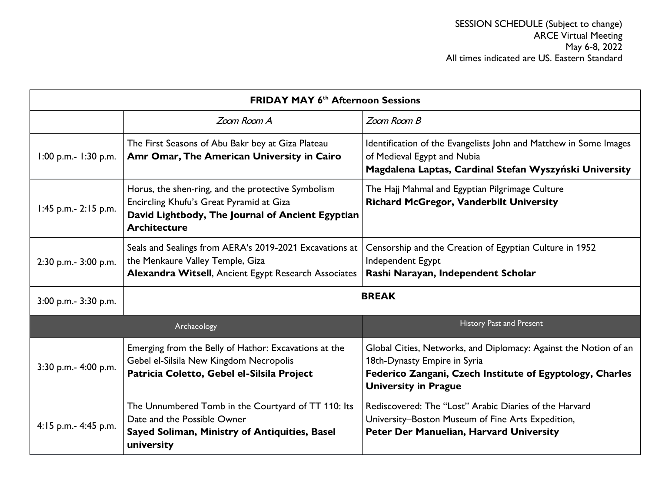| <b>FRIDAY MAY 6<sup>th</sup> Afternoon Sessions</b> |                                                                                                                                                                           |                                                                                                                                                                                             |
|-----------------------------------------------------|---------------------------------------------------------------------------------------------------------------------------------------------------------------------------|---------------------------------------------------------------------------------------------------------------------------------------------------------------------------------------------|
|                                                     | Zoom Room A                                                                                                                                                               | Zoom Room B                                                                                                                                                                                 |
| $1:00$ p.m.- $1:30$ p.m.                            | The First Seasons of Abu Bakr bey at Giza Plateau<br>Amr Omar, The American University in Cairo                                                                           | Identification of the Evangelists John and Matthew in Some Images<br>of Medieval Egypt and Nubia<br>Magdalena Laptas, Cardinal Stefan Wyszyński University                                  |
| $1:45$ p.m.- 2:15 p.m.                              | Horus, the shen-ring, and the protective Symbolism<br>Encircling Khufu's Great Pyramid at Giza<br>David Lightbody, The Journal of Ancient Egyptian<br><b>Architecture</b> | The Hajj Mahmal and Egyptian Pilgrimage Culture<br>Richard McGregor, Vanderbilt University                                                                                                  |
| 2:30 p.m.- 3:00 p.m.                                | Seals and Sealings from AERA's 2019-2021 Excavations at<br>the Menkaure Valley Temple, Giza<br>Alexandra Witsell, Ancient Egypt Research Associates                       | Censorship and the Creation of Egyptian Culture in 1952<br>Independent Egypt<br>Rashi Narayan, Independent Scholar                                                                          |
| 3:00 p.m.- 3:30 p.m.                                | <b>BREAK</b>                                                                                                                                                              |                                                                                                                                                                                             |
|                                                     | Archaeology                                                                                                                                                               | <b>History Past and Present</b>                                                                                                                                                             |
| 3:30 p.m.- 4:00 p.m.                                | Emerging from the Belly of Hathor: Excavations at the<br>Gebel el-Silsila New Kingdom Necropolis<br>Patricia Coletto, Gebel el-Silsila Project                            | Global Cities, Networks, and Diplomacy: Against the Notion of an<br>18th-Dynasty Empire in Syria<br>Federico Zangani, Czech Institute of Egyptology, Charles<br><b>University in Prague</b> |
| 4:15 p.m.- 4:45 p.m.                                | The Unnumbered Tomb in the Courtyard of TT 110: Its<br>Date and the Possible Owner<br>Sayed Soliman, Ministry of Antiquities, Basel<br>university                         | Rediscovered: The "Lost" Arabic Diaries of the Harvard<br>University-Boston Museum of Fine Arts Expedition,<br>Peter Der Manuelian, Harvard University                                      |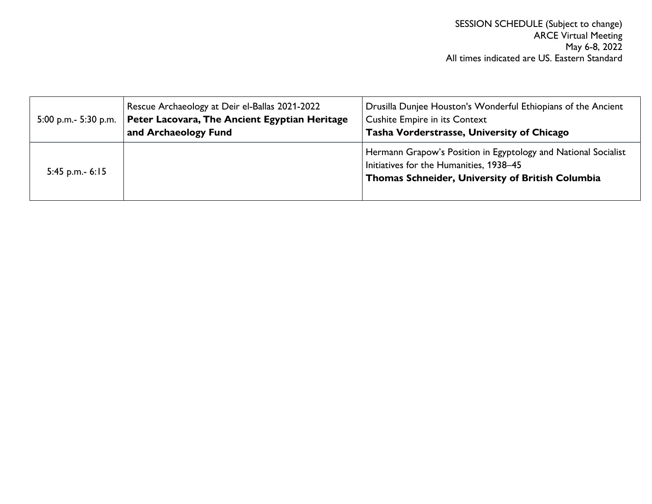|                   | Rescue Archaeology at Deir el-Ballas 2021-2022<br>5:00 p.m.- 5:30 p.m.   Peter Lacovara, The Ancient Egyptian Heritage<br>and Archaeology Fund | Drusilla Dunjee Houston's Wonderful Ethiopians of the Ancient<br><b>Cushite Empire in its Context</b><br>Tasha Vorderstrasse, University of Chicago           |
|-------------------|------------------------------------------------------------------------------------------------------------------------------------------------|---------------------------------------------------------------------------------------------------------------------------------------------------------------|
| 5:45 p.m.- $6:15$ |                                                                                                                                                | Hermann Grapow's Position in Egyptology and National Socialist<br>Initiatives for the Humanities, 1938-45<br>Thomas Schneider, University of British Columbia |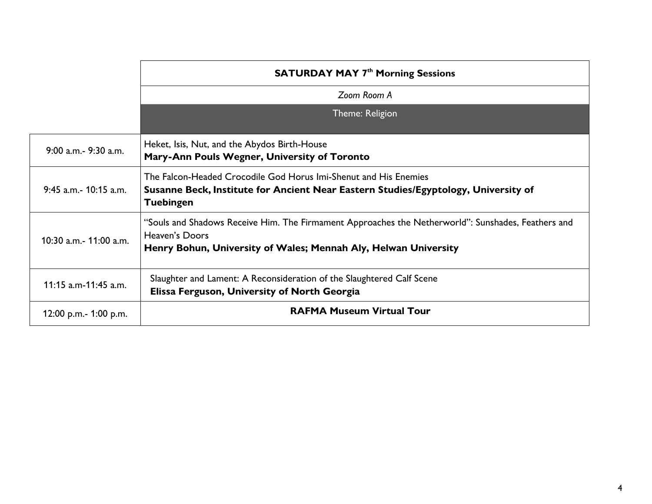|                           | <b>SATURDAY MAY 7th Morning Sessions</b>                                                                                                                                                |  |
|---------------------------|-----------------------------------------------------------------------------------------------------------------------------------------------------------------------------------------|--|
|                           | Zoom Room A                                                                                                                                                                             |  |
|                           | Theme: Religion                                                                                                                                                                         |  |
| 9:00 a.m. - 9:30 a.m.     | Heket, Isis, Nut, and the Abydos Birth-House<br>Mary-Ann Pouls Wegner, University of Toronto                                                                                            |  |
| $9:45$ a.m. $-10:15$ a.m. | The Falcon-Headed Crocodile God Horus Imi-Shenut and His Enemies<br>Susanne Beck, Institute for Ancient Near Eastern Studies/Egyptology, University of<br><b>Tuebingen</b>              |  |
| 10:30 a.m. - 11:00 a.m.   | "Souls and Shadows Receive Him. The Firmament Approaches the Netherworld": Sunshades, Feathers and<br>Heaven's Doors<br>Henry Bohun, University of Wales; Mennah Aly, Helwan University |  |
| 11:15 a.m-11:45 a.m.      | Slaughter and Lament: A Reconsideration of the Slaughtered Calf Scene<br>Elissa Ferguson, University of North Georgia                                                                   |  |
| 12:00 p.m.- 1:00 p.m.     | <b>RAFMA Museum Virtual Tour</b>                                                                                                                                                        |  |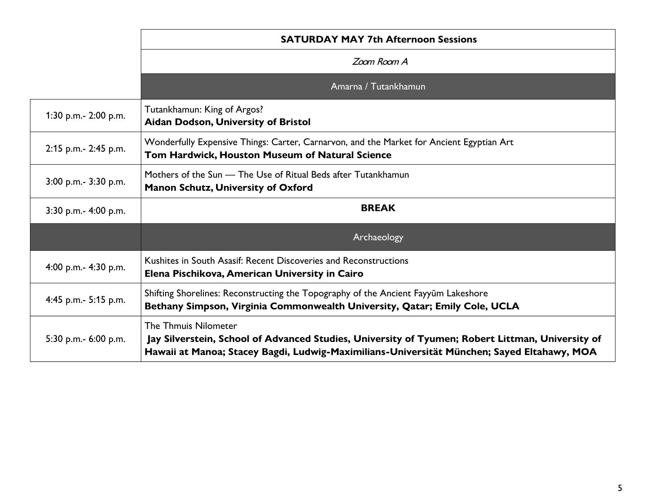|                      | <b>SATURDAY MAY 7th Afternoon Sessions</b>                                                                                                                                                                                    |  |
|----------------------|-------------------------------------------------------------------------------------------------------------------------------------------------------------------------------------------------------------------------------|--|
|                      | Zoom Room A                                                                                                                                                                                                                   |  |
|                      | Amarna / Tutankhamun                                                                                                                                                                                                          |  |
| 1:30 p.m.- 2:00 p.m. | Tutankhamun: King of Argos?<br>Aidan Dodson, University of Bristol                                                                                                                                                            |  |
| 2:15 p.m.- 2:45 p.m. | Wonderfully Expensive Things: Carter, Carnarvon, and the Market for Ancient Egyptian Art<br>Tom Hardwick, Houston Museum of Natural Science                                                                                   |  |
| 3:00 p.m.- 3:30 p.m. | Mothers of the Sun - The Use of Ritual Beds after Tutankhamun<br><b>Manon Schutz, University of Oxford</b>                                                                                                                    |  |
| 3:30 p.m.- 4:00 p.m. | <b>BREAK</b>                                                                                                                                                                                                                  |  |
|                      | Archaeology                                                                                                                                                                                                                   |  |
| 4:00 p.m.- 4:30 p.m. | Kushites in South Asasif: Recent Discoveries and Reconstructions<br>Elena Pischikova, American University in Cairo                                                                                                            |  |
| 4:45 p.m.- 5:15 p.m. | Shifting Shorelines: Reconstructing the Topography of the Ancient Fayyum Lakeshore<br>Bethany Simpson, Virginia Commonwealth University, Qatar; Emily Cole, UCLA                                                              |  |
| 5:30 p.m.- 6:00 p.m. | <b>The Thmuis Nilometer</b><br>Jay Silverstein, School of Advanced Studies, University of Tyumen; Robert Littman, University of<br>Hawaii at Manoa; Stacey Bagdi, Ludwig-Maximilians-Universität München; Sayed Eltahawy, MOA |  |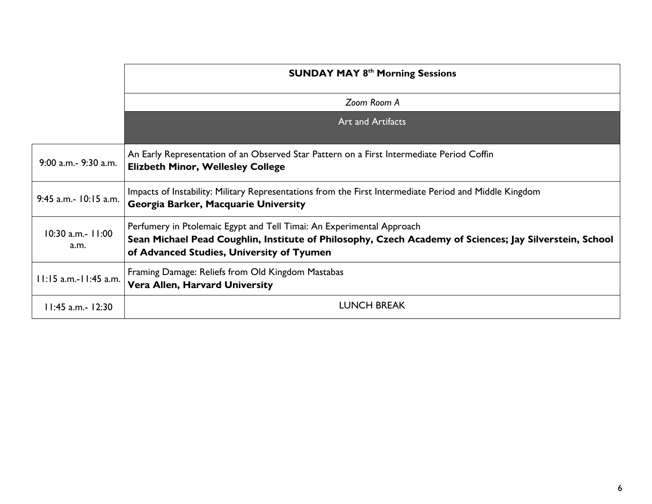|                           | <b>SUNDAY MAY 8th Morning Sessions</b>                                                                                                                                                                                        |  |
|---------------------------|-------------------------------------------------------------------------------------------------------------------------------------------------------------------------------------------------------------------------------|--|
|                           | Zoom Room A                                                                                                                                                                                                                   |  |
|                           | <b>Art and Artifacts</b>                                                                                                                                                                                                      |  |
| 9:00 a.m. - 9:30 a.m.     | An Early Representation of an Observed Star Pattern on a First Intermediate Period Coffin<br><b>Elizbeth Minor, Wellesley College</b>                                                                                         |  |
| 9:45 a.m.- 10:15 a.m.     | Impacts of Instability: Military Representations from the First Intermediate Period and Middle Kingdom<br>Georgia Barker, Macquarie University                                                                                |  |
| 10:30 a.m.- 11:00<br>a.m. | Perfumery in Ptolemaic Egypt and Tell Timai: An Experimental Approach<br>Sean Michael Pead Coughlin, Institute of Philosophy, Czech Academy of Sciences; Jay Silverstein, School<br>of Advanced Studies, University of Tyumen |  |
| 11:15 a.m.-11:45 a.m.     | Framing Damage: Reliefs from Old Kingdom Mastabas<br><b>Vera Allen, Harvard University</b>                                                                                                                                    |  |
| $11:45$ a.m.- 12:30       | <b>LUNCH BREAK</b>                                                                                                                                                                                                            |  |